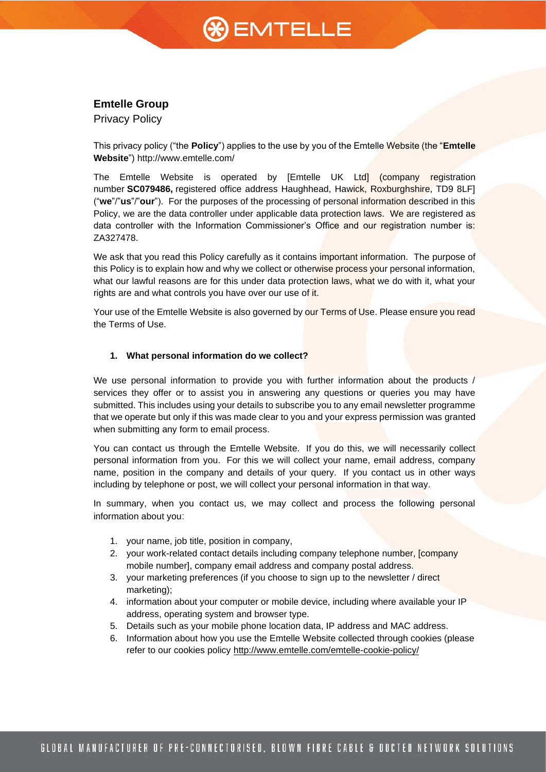# $\mathcal{R}$  EMTELLE

## **Emtelle Group**

Privacy Policy

This privacy policy ("the **Policy**") applies to the use by you of the Emtelle Website (the "**Emtelle Website**") http://www.emtelle.com/

The Emtelle Website is operated by [Emtelle UK Ltd] (company registration number **SC079486,** registered office address Haughhead, Hawick, Roxburghshire, TD9 8LF] ("**we**"/"**us**"/"**our**"). For the purposes of the processing of personal information described in this Policy, we are the data controller under applicable data protection laws. We are registered as data controller with the Information Commissioner's Office and our registration number is: ZA327478.

We ask that you read this Policy carefully as it contains important information. The purpose of this Policy is to explain how and why we collect or otherwise process your personal information, what our lawful reasons are for this under data protection laws, what we do with it, what your rights are and what controls you have over our use of it.

Your use of the Emtelle Website is also governed by our Terms of Use. Please ensure you read the Terms of Use.

### **1. What personal information do we collect?**

We use personal information to provide you with further information about the products / services they offer or to assist you in answering any questions or queries you may have submitted. This includes using your details to subscribe you to any email newsletter programme that we operate but only if this was made clear to you and your express permission was granted when submitting any form to email process.

You can contact us through the Emtelle Website. If you do this, we will necessarily collect personal information from you. For this we will collect your name, email address, company name, position in the company and details of your query. If you contact us in other ways including by telephone or post, we will collect your personal information in that way.

In summary, when you contact us, we may collect and process the following personal information about you:

- 1. your name, job title, position in company,
- 2. your work-related contact details including company telephone number, [company mobile number], company email address and company postal address.
- 3. your marketing preferences (if you choose to sign up to the newsletter / direct marketing);
- 4. information about your computer or mobile device, including where available your IP address, operating system and browser type.
- 5. Details such as your mobile phone location data, IP address and MAC address.
- 6. Information about how you use the Emtelle Website collected through cookies (please refer to our cookies policy [http://www.emtelle.com/emtelle-cookie-policy/](https://www.emtelle.com/emtelle-cookie-policy/)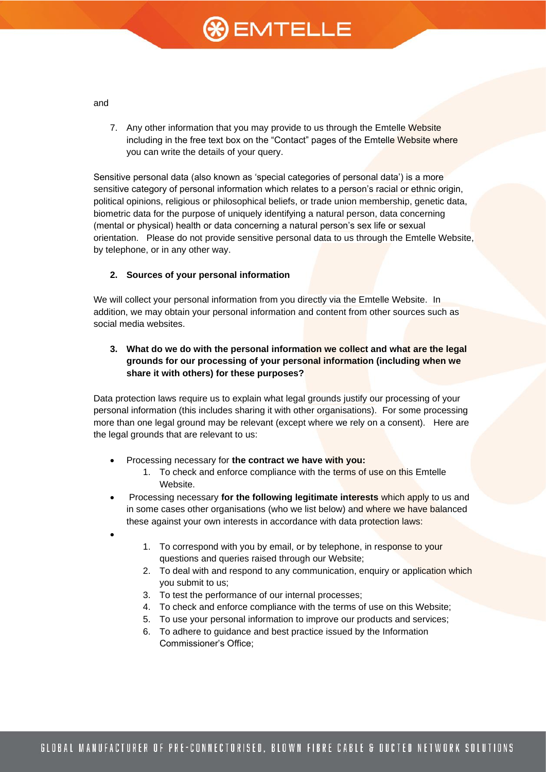# **A)** EMTELLE

and

7. Any other information that you may provide to us through the Emtelle Website including in the free text box on the "Contact" pages of the Emtelle Website where you can write the details of your query.

Sensitive personal data (also known as 'special categories of personal data') is a more sensitive category of personal information which relates to a person's racial or ethnic origin, political opinions, religious or philosophical beliefs, or trade union membership, genetic data, biometric data for the purpose of uniquely identifying a natural person, data concerning (mental or physical) health or data concerning a natural person's sex life or sexual orientation. Please do not provide sensitive personal data to us through the Emtelle Website, by telephone, or in any other way.

## **2. Sources of your personal information**

We will collect your personal information from you directly via the Emtelle Website. In addition, we may obtain your personal information and content from other sources such as social media websites.

## **3. What do we do with the personal information we collect and what are the legal grounds for our processing of your personal information (including when we share it with others) for these purposes?**

Data protection laws require us to explain what legal grounds justify our processing of your personal information (this includes sharing it with other organisations). For some processing more than one legal ground may be relevant (except where we rely on a consent). Here are the legal grounds that are relevant to us:

- Processing necessary for **the contract we have with you:**
	- 1. To check and enforce compliance with the terms of use on this Emtelle Website.
- Processing necessary **for the following legitimate interests** which apply to us and in some cases other organisations (who we list below) and where we have balanced these against your own interests in accordance with data protection laws:
- •
- 1. To correspond with you by email, or by telephone, in response to your questions and queries raised through our Website;
- 2. To deal with and respond to any communication, enquiry or application which you submit to us;
- 3. To test the performance of our internal processes;
- 4. To check and enforce compliance with the terms of use on this Website;
- 5. To use your personal information to improve our products and services;
- 6. To adhere to guidance and best practice issued by the Information Commissioner's Office;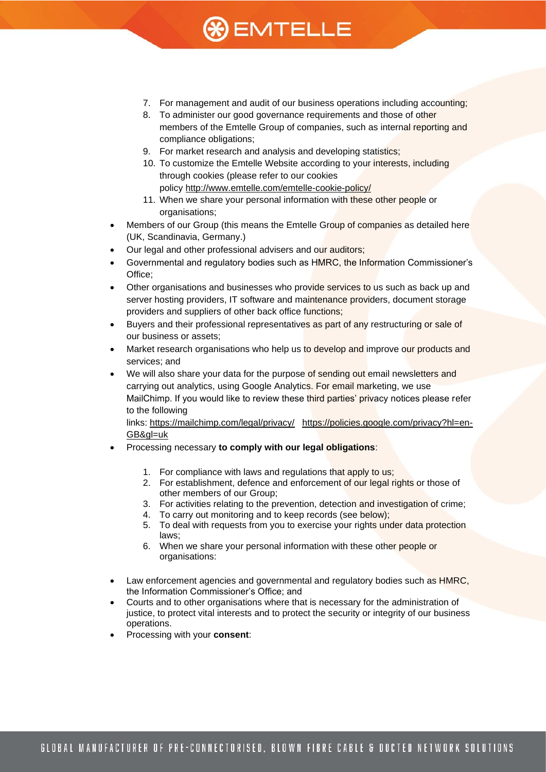# **EMTELLE**

- 7. For management and audit of our business operations including accounting;
- 8. To administer our good governance requirements and those of other members of the Emtelle Group of companies, such as internal reporting and compliance obligations;
- 9. For market research and analysis and developing statistics;
- 10. To customize the Emtelle Website according to your interests, including through cookies (please refer to our cookies policy [http://www.emtelle.com/emtelle-cookie-policy/](https://www.emtelle.com/emtelle-cookie-policy/)
- 11. When we share your personal information with these other people or organisations;
- Members of our Group (this means the Emtelle Group of companies as detailed here (UK, Scandinavia, Germany.)
- Our legal and other professional advisers and our auditors;
- Governmental and regulatory bodies such as HMRC, the Information Commissioner's Office;
- Other organisations and businesses who provide services to us such as back up and server hosting providers, IT software and maintenance providers, document storage providers and suppliers of other back office functions;
- Buyers and their professional representatives as part of any restructuring or sale of our business or assets;
- Market research organisations who help us to develop and improve our products and services; and
- We will also share your data for the purpose of sending out email newsletters and carrying out analytics, using Google Analytics. For email marketing, we use MailChimp. If you would like to review these third parties' privacy notices please refer to the following links: <https://mailchimp.com/legal/privacy/>[https://policies.google.com/privacy?hl=en-](https://policies.google.com/privacy?hl=en-GB&gl=uk)
- [GB&gl=uk](https://policies.google.com/privacy?hl=en-GB&gl=uk)
- Processing necessary **to comply with our legal obligations**:
	- 1. For compliance with laws and regulations that apply to us;
	- 2. For establishment, defence and enforcement of our legal rights or those of other members of our Group;
	- 3. For activities relating to the prevention, detection and investigation of crime;
	- 4. To carry out monitoring and to keep records (see below);
	- 5. To deal with requests from you to exercise your rights under data protection laws;
	- 6. When we share your personal information with these other people or organisations:
- Law enforcement agencies and governmental and regulatory bodies such as HMRC, the Information Commissioner's Office; and
- Courts and to other organisations where that is necessary for the administration of justice, to protect vital interests and to protect the security or integrity of our business operations.
- Processing with your **consent**: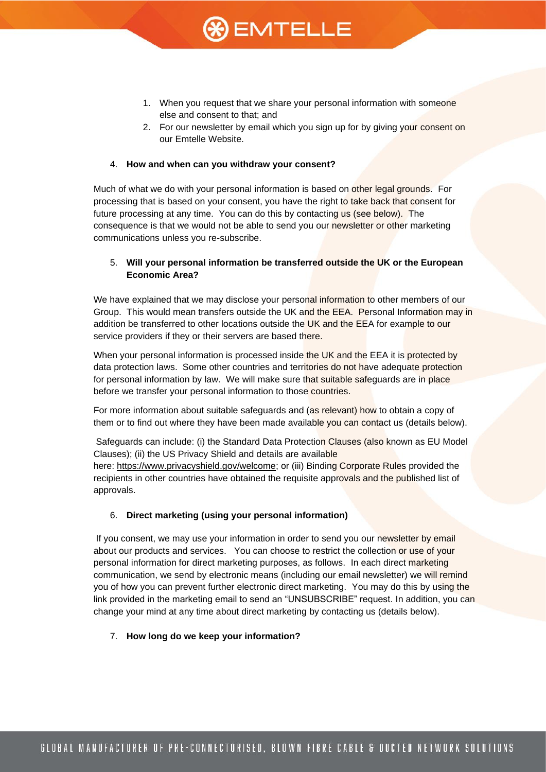

- 1. When you request that we share your personal information with someone else and consent to that; and
- 2. For our newsletter by email which you sign up for by giving your consent on our Emtelle Website.

#### 4. **How and when can you withdraw your consent?**

Much of what we do with your personal information is based on other legal grounds. For processing that is based on your consent, you have the right to take back that consent for future processing at any time. You can do this by contacting us (see below). The consequence is that we would not be able to send you our newsletter or other marketing communications unless you re-subscribe.

### 5. **Will your personal information be transferred outside the UK or the European Economic Area?**

We have explained that we may disclose your personal information to other members of our Group. This would mean transfers outside the UK and the EEA. Personal Information may in addition be transferred to other locations outside the UK and the EEA for example to our service providers if they or their servers are based there.

When your personal information is processed inside the UK and the EEA it is protected by data protection laws. Some other countries and territories do not have adequate protection for personal information by law. We will make sure that suitable safeguards are in place before we transfer your personal information to those countries.

For more information about suitable safeguards and (as relevant) how to obtain a copy of them or to find out where they have been made available you can contact us (details below).

Safeguards can include: (i) the Standard Data Protection Clauses (also known as EU Model Clauses); (ii) the US Privacy Shield and details are available here: [https://www.privacyshield.gov/welcome;](https://www.privacyshield.gov/welcome) or (iii) Binding Corporate Rules provided the

recipients in other countries have obtained the requisite approvals and the published list of approvals.

#### 6. **Direct marketing (using your personal information)**

If you consent, we may use your information in order to send you our newsletter by email about our products and services. You can choose to restrict the collection or use of your personal information for direct marketing purposes, as follows. In each direct marketing communication, we send by electronic means (including our email newsletter) we will remind you of how you can prevent further electronic direct marketing. You may do this by using the link provided in the marketing email to send an "UNSUBSCRIBE" request. In addition, you can change your mind at any time about direct marketing by contacting us (details below).

#### 7. **How long do we keep your information?**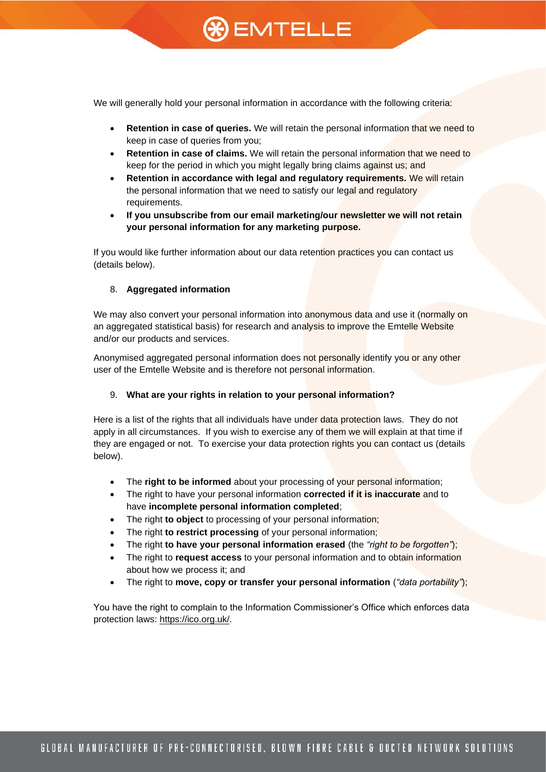# **A)** EMTELLE

We will generally hold your personal information in accordance with the following criteria:

- **Retention in case of queries.** We will retain the personal information that we need to keep in case of queries from you;
- **Retention in case of claims.** We will retain the personal information that we need to keep for the period in which you might legally bring claims against us; and
- **Retention in accordance with legal and regulatory requirements.** We will retain the personal information that we need to satisfy our legal and regulatory requirements.
- **If you unsubscribe from our email marketing/our newsletter we will not retain your personal information for any marketing purpose.**

If you would like further information about our data retention practices you can contact us (details below).

## 8. **Aggregated information**

We may also convert your personal information into anonymous data and use it (normally on an aggregated statistical basis) for research and analysis to improve the Emtelle Website and/or our products and services.

Anonymised aggregated personal information does not personally identify you or any other user of the Emtelle Website and is therefore not personal information.

### 9. **What are your rights in relation to your personal information?**

Here is a list of the rights that all individuals have under data protection laws. They do not apply in all circumstances. If you wish to exercise any of them we will explain at that time if they are engaged or not. To exercise your data protection rights you can contact us (details below).

- The **right to be informed** about your processing of your personal information;
- The right to have your personal information **corrected if it is inaccurate** and to have **incomplete personal information completed**;
- The right **to object** to processing of your personal information;
- The right **to restrict processing** of your personal information;
- The right **to have your personal information erased** (the *"right to be forgotten"*);
- The right to **request access** to your personal information and to obtain information about how we process it; and
- The right to **move, copy or transfer your personal information** (*"data portability"*);

You have the right to complain to the Information Commissioner's Office which enforces data protection laws: [https://ico.org.uk/.](https://ico.org.uk/)